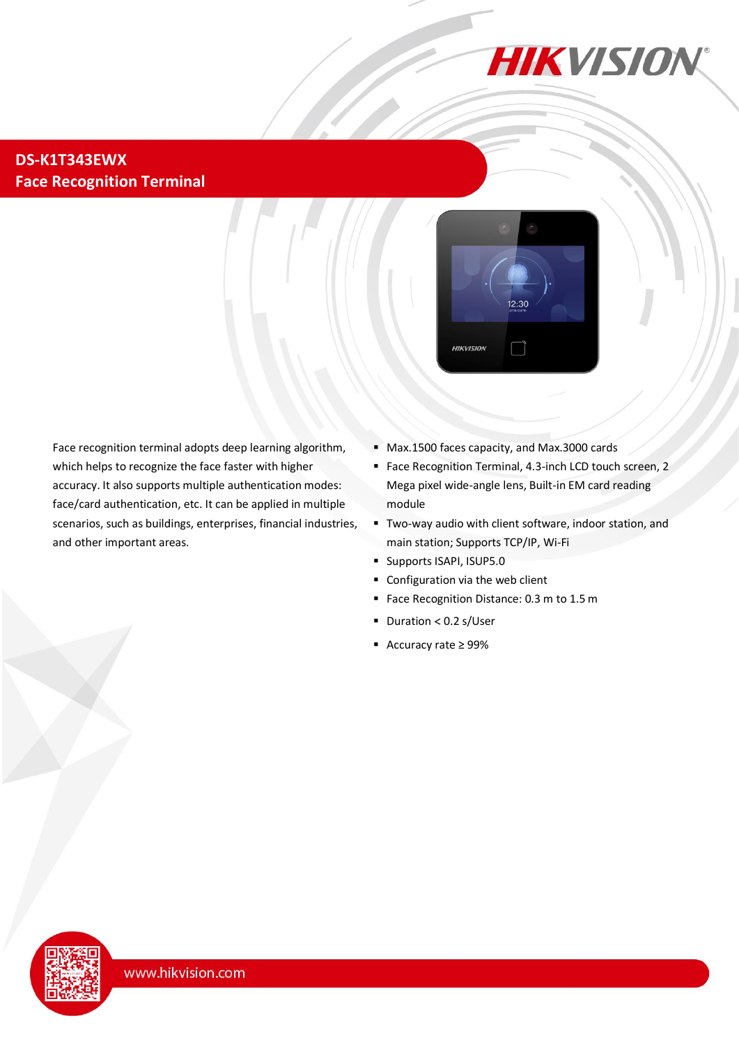

#### **DS-K1T343EWX Face Recognition Terminal**



Face recognition terminal adopts deep learning algorithm, which helps to recognize the face faster with higher accuracy. It also supports multiple authentication modes: face/card authentication, etc. It can be applied in multiple scenarios, such as buildings, enterprises, financial industries, and other important areas.

- Max.1500 faces capacity, and Max.3000 cards
- Face Recognition Terminal, 4.3-inch LCD touch screen, 2 Mega pixel wide-angle lens, Built-in EM card reading module
- Two-way audio with client software, indoor station, and main station; Supports TCP/IP, Wi-Fi
- Supports ISAPI, ISUP5.0
- Configuration via the web client
- Face Recognition Distance: 0.3 m to 1.5 m
- $\blacksquare$  Duration < 0.2 s/User
- Accuracy rate ≥ 99%

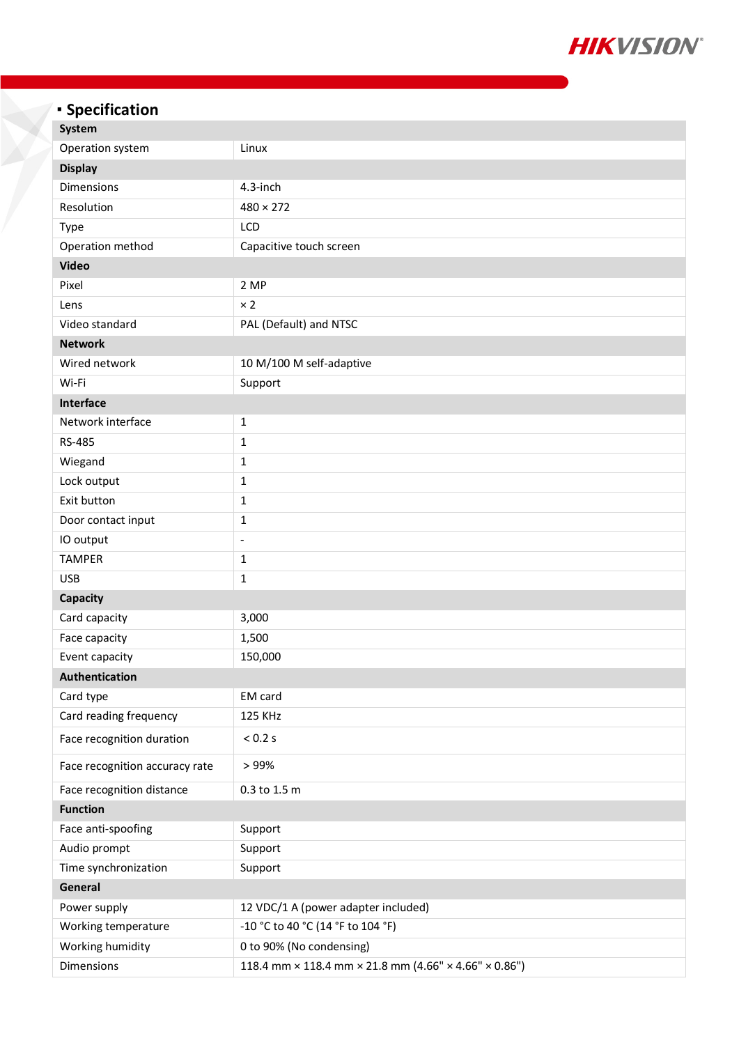

# **Specification**

| System                         |                                                       |
|--------------------------------|-------------------------------------------------------|
| Operation system               | Linux                                                 |
| <b>Display</b>                 |                                                       |
| Dimensions                     | 4.3-inch                                              |
| Resolution                     | $480 \times 272$                                      |
| <b>Type</b>                    | LCD                                                   |
| Operation method               | Capacitive touch screen                               |
| <b>Video</b>                   |                                                       |
| Pixel                          | 2 MP                                                  |
| Lens                           | $\times 2$                                            |
| Video standard                 | PAL (Default) and NTSC                                |
| <b>Network</b>                 |                                                       |
| Wired network                  | 10 M/100 M self-adaptive                              |
| Wi-Fi                          | Support                                               |
| Interface                      |                                                       |
| Network interface              | $\mathbf{1}$                                          |
| RS-485                         | 1                                                     |
| Wiegand                        | $\mathbf 1$                                           |
| Lock output                    | $\mathbf 1$                                           |
| Exit button                    | $\mathbf{1}$                                          |
| Door contact input             | 1                                                     |
| IO output                      | $\frac{1}{2}$                                         |
| <b>TAMPER</b>                  | $\mathbf 1$                                           |
| <b>USB</b>                     | $\mathbf{1}$                                          |
| <b>Capacity</b>                |                                                       |
| Card capacity                  | 3,000                                                 |
| Face capacity                  | 1,500                                                 |
| Event capacity                 | 150,000                                               |
| Authentication                 |                                                       |
| Card type                      | EM card                                               |
| Card reading frequency         | 125 KHz                                               |
| Face recognition duration      | $< 0.2$ s                                             |
| Face recognition accuracy rate | > 99%                                                 |
| Face recognition distance      | 0.3 to 1.5 m                                          |
| <b>Function</b>                |                                                       |
| Face anti-spoofing             | Support                                               |
| Audio prompt                   | Support                                               |
| Time synchronization           | Support                                               |
| General                        |                                                       |
| Power supply                   | 12 VDC/1 A (power adapter included)                   |
| Working temperature            | -10 °C to 40 °C (14 °F to 104 °F)                     |
| Working humidity               | 0 to 90% (No condensing)                              |
| Dimensions                     | 118.4 mm × 118.4 mm × 21.8 mm (4.66" × 4.66" × 0.86") |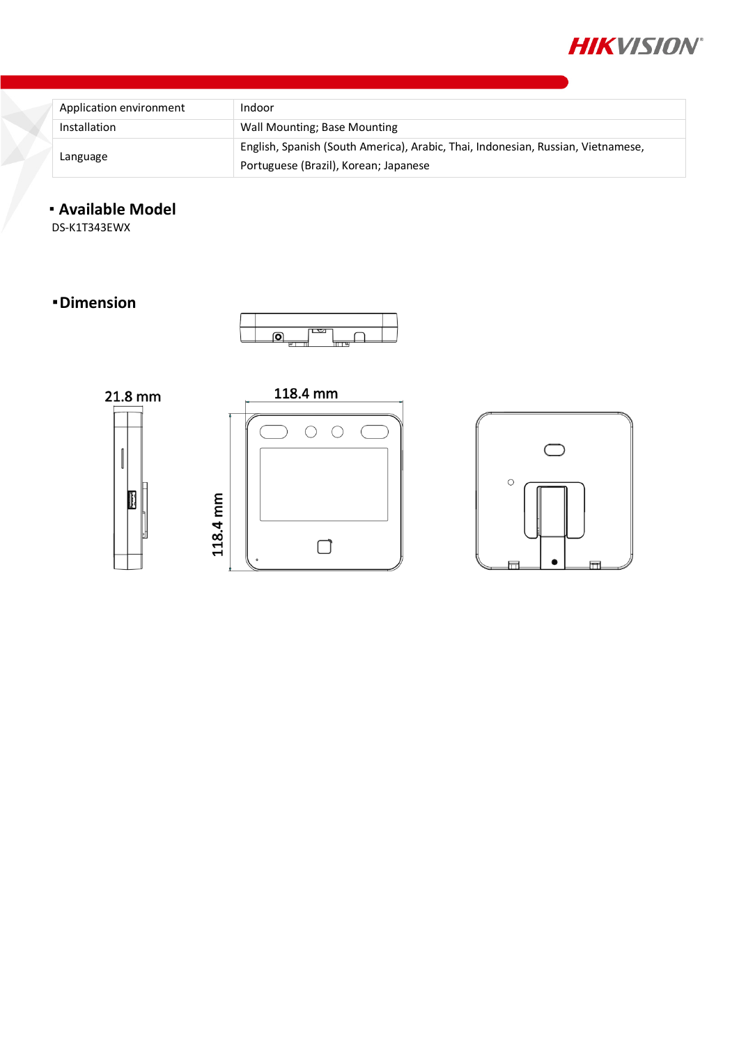

| Application environment | Indoor                                                                                                                    |
|-------------------------|---------------------------------------------------------------------------------------------------------------------------|
| Installation            | Wall Mounting; Base Mounting                                                                                              |
| Language                | English, Spanish (South America), Arabic, Thai, Indonesian, Russian, Vietnamese,<br>Portuguese (Brazil), Korean; Japanese |

### **Available Model**

DS-K1T343EWX

#### **Dimension**